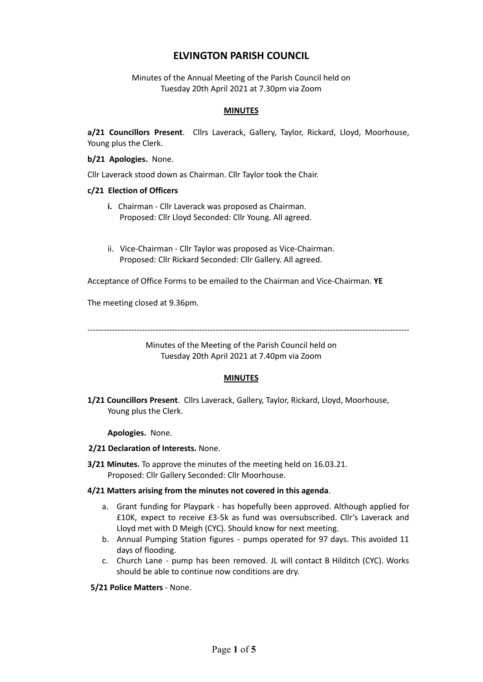# **ELVINGTON PARISH COUNCIL**

Minutes of the Annual Meeting of the Parish Council held on Tuesday 20th April 2021 at 7.30pm via Zoom

## **MINUTES**

**a/21 Councillors Present**. Cllrs Laverack, Gallery, Taylor, Rickard, Lloyd, Moorhouse, Young plus the Clerk.

**b/21 Apologies.** None.

Cllr Laverack stood down as Chairman. Cllr Taylor took the Chair.

#### **c/21 Election of Officers**

- **i.** Chairman Cllr Laverack was proposed as Chairman. Proposed: Cllr Lloyd Seconded: Cllr Young. All agreed.
- ii. Vice-Chairman Cllr Taylor was proposed as Vice-Chairman. Proposed: Cllr Rickard Seconded: Cllr Gallery. All agreed.

Acceptance of Office Forms to be emailed to the Chairman and Vice-Chairman. **YE**

The meeting closed at 9.36pm.

----------------------------------------------------------------------------------------------------------------------

Minutes of the Meeting of the Parish Council held on Tuesday 20th April 2021 at 7.40pm via Zoom

## **MINUTES**

**1/21 Councillors Present**. Cllrs Laverack, Gallery, Taylor, Rickard, Lloyd, Moorhouse, Young plus the Clerk.

**Apologies.** None.

#### **2/21 Declaration of Interests.** None.

**3/21 Minutes.** To approve the minutes of the meeting held on 16.03.21. Proposed: Cllr Gallery Seconded: Cllr Moorhouse.

## **4/21 Matters arising from the minutes not covered in this agenda**.

- a. Grant funding for Playpark has hopefully been approved. Although applied for £10K, expect to receive £3-5k as fund was oversubscribed. Cllr's Laverack and Lloyd met with D Meigh (CYC). Should know for next meeting.
- b. Annual Pumping Station figures pumps operated for 97 days. This avoided 11 days of flooding.
- c. Church Lane pump has been removed. JL will contact B Hilditch (CYC). Works should be able to continue now conditions are dry.

**5/21 Police Matters** - None.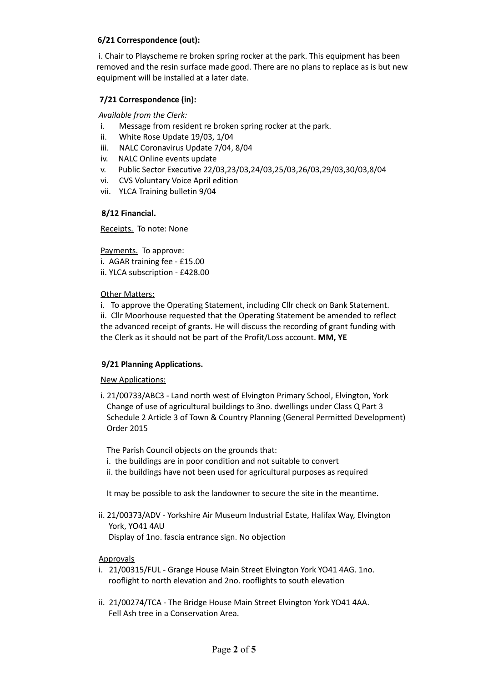# **6/21 Correspondence (out):**

i. Chair to Playscheme re broken spring rocker at the park. This equipment has been removed and the resin surface made good. There are no plans to replace as is but new equipment will be installed at a later date.

# **7/21 Correspondence (in):**

*Available from the Clerk:*

- i. Message from resident re broken spring rocker at the park.
- ii. White Rose Update 19/03, 1/04
- iii. NALC Coronavirus Update 7/04, 8/04
- iv. NALC Online events update
- v. Public Sector Executive 22/03,23/03,24/03,25/03,26/03,29/03,30/03,8/04
- vi. CVS Voluntary Voice April edition
- vii. YLCA Training bulletin 9/04

## **8/12 Financial.**

Receipts. To note: None

Payments. To approve:

- i. AGAR training fee £15.00
- ii. YLCA subscription £428.00

Other Matters:

i. To approve the Operating Statement, including Cllr check on Bank Statement. ii. Cllr Moorhouse requested that the Operating Statement be amended to reflect the advanced receipt of grants. He will discuss the recording of grant funding with the Clerk as it should not be part of the Profit/Loss account. **MM, YE**

## **9/21 Planning Applications.**

New Applications:

i. 21/00733/ABC3 - Land north west of Elvington Primary School, Elvington, York Change of use of agricultural buildings to 3no. dwellings under Class Q Part 3 Schedule 2 Article 3 of Town & Country Planning (General Permitted Development) Order 2015

The Parish Council objects on the grounds that:

- i. the buildings are in poor condition and not suitable to convert
- ii. the buildings have not been used for agricultural purposes as required

It may be possible to ask the landowner to secure the site in the meantime.

ii. 21/00373/ADV - Yorkshire Air Museum Industrial Estate, Halifax Way, Elvington York, YO41 4AU Display of 1no. fascia entrance sign. No objection

## **Approvals**

- i. 21/00315/FUL Grange House Main Street Elvington York YO41 4AG. 1no. rooflight to north elevation and 2no. rooflights to south elevation
- ii. 21/00274/TCA The Bridge House Main Street Elvington York YO41 4AA. Fell Ash tree in a Conservation Area.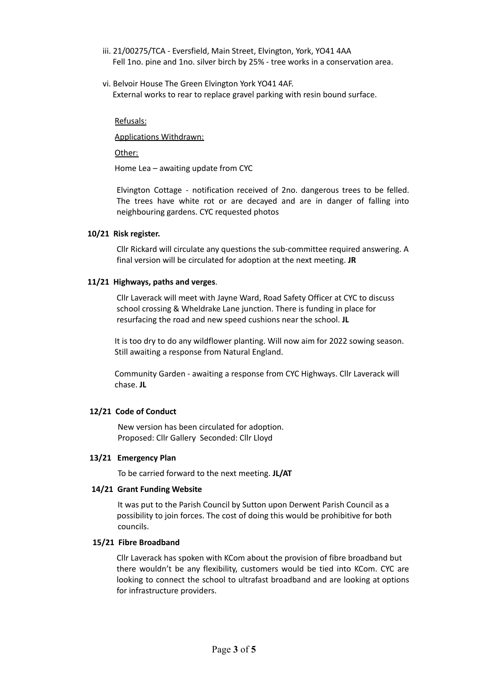- iii. 21/00275/TCA Eversfield, Main Street, Elvington, York, YO41 4AA Fell 1no. pine and 1no. silver birch by 25% - tree works in a conservation area.
- vi. Belvoir House The Green Elvington York YO41 4AF. External works to rear to replace gravel parking with resin bound surface.

#### Refusals:

Applications Withdrawn:

Other:

Home Lea – awaiting update from CYC

Elvington Cottage - notification received of 2no. dangerous trees to be felled. The trees have white rot or are decayed and are in danger of falling into neighbouring gardens. CYC requested photos

#### **10/21 Risk register.**

Cllr Rickard will circulate any questions the sub-committee required answering. A final version will be circulated for adoption at the next meeting. **JR**

#### **11/21 Highways, paths and verges**.

Cllr Laverack will meet with Jayne Ward, Road Safety Officer at CYC to discuss school crossing & Wheldrake Lane junction. There is funding in place for resurfacing the road and new speed cushions near the school. **JL**

It is too dry to do any wildflower planting. Will now aim for 2022 sowing season. Still awaiting a response from Natural England.

Community Garden - awaiting a response from CYC Highways. Cllr Laverack will chase. **JL**

## **12/21 Code of Conduct**

New version has been circulated for adoption. Proposed: Cllr Gallery Seconded: Cllr Lloyd

#### **13/21 Emergency Plan**

To be carried forward to the next meeting. **JL/AT**

#### **14/21 Grant Funding Website**

It was put to the Parish Council by Sutton upon Derwent Parish Council as a possibility to join forces. The cost of doing this would be prohibitive for both councils.

#### **15/21 Fibre Broadband**

Cllr Laverack has spoken with KCom about the provision of fibre broadband but there wouldn't be any flexibility, customers would be tied into KCom. CYC are looking to connect the school to ultrafast broadband and are looking at options for infrastructure providers.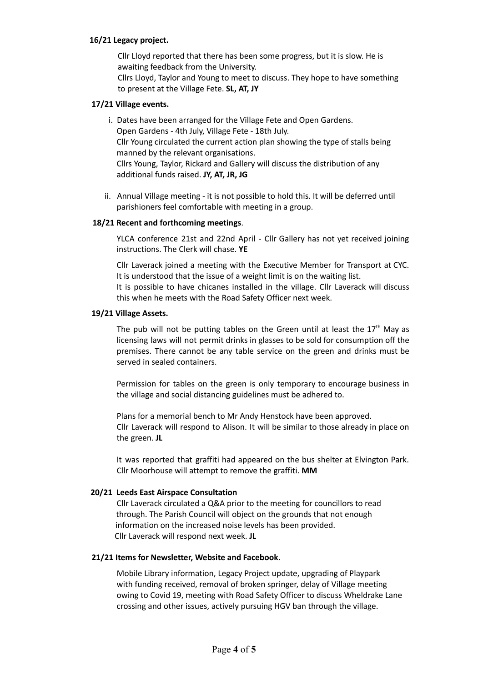## **16/21 Legacy project.**

Cllr Lloyd reported that there has been some progress, but it is slow. He is awaiting feedback from the University.

Cllrs Lloyd, Taylor and Young to meet to discuss. They hope to have something to present at the Village Fete. **SL, AT, JY**

## **17/21 Village events.**

i. Dates have been arranged for the Village Fete and Open Gardens. Open Gardens - 4th July, Village Fete - 18th July. Cllr Young circulated the current action plan showing the type of stalls being manned by the relevant organisations. Cllrs Young, Taylor, Rickard and Gallery will discuss the distribution of any additional funds raised. **JY, AT, JR, JG**

ii. Annual Village meeting - it is not possible to hold this. It will be deferred until parishioners feel comfortable with meeting in a group.

## **18/21 Recent and forthcoming meetings**.

YLCA conference 21st and 22nd April - Cllr Gallery has not yet received joining instructions. The Clerk will chase. **YE**

Cllr Laverack joined a meeting with the Executive Member for Transport at CYC. It is understood that the issue of a weight limit is on the waiting list. It is possible to have chicanes installed in the village. Cllr Laverack will discuss this when he meets with the Road Safety Officer next week.

## **19/21 Village Assets.**

The pub will not be putting tables on the Green until at least the  $17<sup>th</sup>$  May as licensing laws will not permit drinks in glasses to be sold for consumption off the premises. There cannot be any table service on the green and drinks must be served in sealed containers.

Permission for tables on the green is only temporary to encourage business in the village and social distancing guidelines must be adhered to.

Plans for a memorial bench to Mr Andy Henstock have been approved. Cllr Laverack will respond to Alison. It will be similar to those already in place on the green. **JL**

It was reported that graffiti had appeared on the bus shelter at Elvington Park. Cllr Moorhouse will attempt to remove the graffiti. **MM**

## **20/21 Leeds East Airspace Consultation**

Cllr Laverack circulated a Q&A prior to the meeting for councillors to read through. The Parish Council will object on the grounds that not enough information on the increased noise levels has been provided. Cllr Laverack will respond next week. **JL**

## **21/21 Items for Newsletter, Website and Facebook**.

Mobile Library information, Legacy Project update, upgrading of Playpark with funding received, removal of broken springer, delay of Village meeting owing to Covid 19, meeting with Road Safety Officer to discuss Wheldrake Lane crossing and other issues, actively pursuing HGV ban through the village.